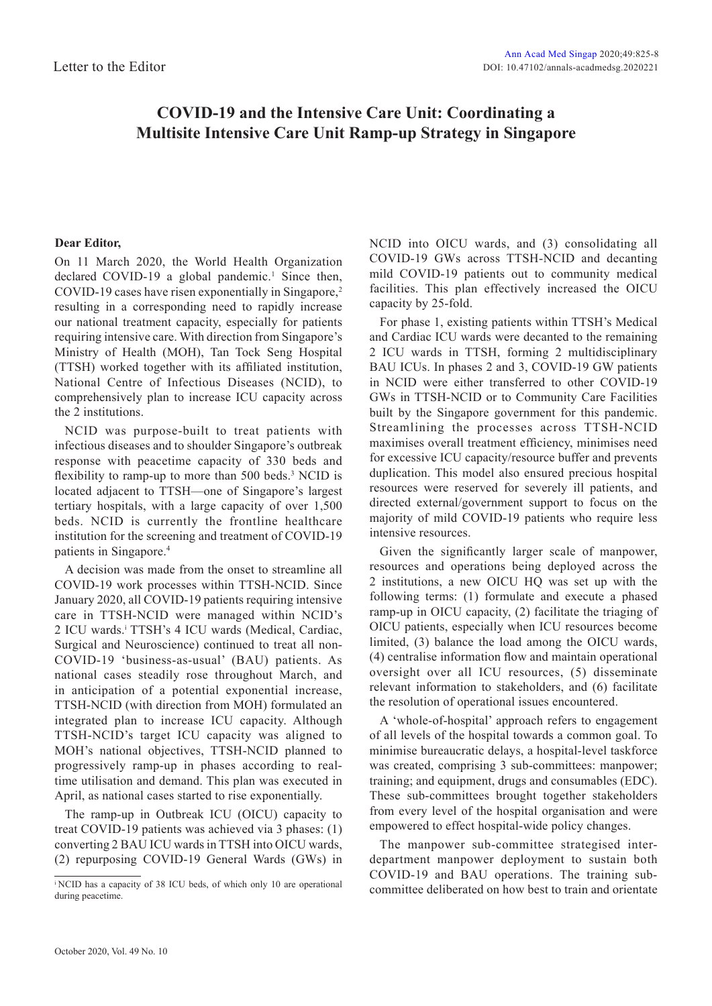## **COVID-19 and the Intensive Care Unit: Coordinating a Multisite Intensive Care Unit Ramp-up Strategy in Singapore**

## **Dear Editor,**

On 11 March 2020, the World Health Organization declared COVID-19 a global pandemic.<sup>1</sup> Since then, COVID-19 cases have risen exponentially in Singapore,<sup>2</sup> resulting in a corresponding need to rapidly increase our national treatment capacity, especially for patients requiring intensive care. With direction from Singapore's Ministry of Health (MOH), Tan Tock Seng Hospital (TTSH) worked together with its affiliated institution, National Centre of Infectious Diseases (NCID), to comprehensively plan to increase ICU capacity across the 2 institutions.

NCID was purpose-built to treat patients with infectious diseases and to shoulder Singapore's outbreak response with peacetime capacity of 330 beds and flexibility to ramp-up to more than 500 beds.<sup>3</sup> NCID is located adjacent to TTSH—one of Singapore's largest tertiary hospitals, with a large capacity of over 1,500 beds. NCID is currently the frontline healthcare institution for the screening and treatment of COVID-19 patients in Singapore.4

A decision was made from the onset to streamline all COVID-19 work processes within TTSH-NCID. Since January 2020, all COVID-19 patients requiring intensive care in TTSH-NCID were managed within NCID's 2 ICU wards.<sup>*i*</sup> TTSH's 4 ICU wards (Medical, Cardiac, Surgical and Neuroscience) continued to treat all non-COVID-19 'business-as-usual' (BAU) patients. As national cases steadily rose throughout March, and in anticipation of a potential exponential increase, TTSH-NCID (with direction from MOH) formulated an integrated plan to increase ICU capacity. Although TTSH-NCID's target ICU capacity was aligned to MOH's national objectives, TTSH-NCID planned to progressively ramp-up in phases according to realtime utilisation and demand. This plan was executed in April, as national cases started to rise exponentially.

The ramp-up in Outbreak ICU (OICU) capacity to treat COVID-19 patients was achieved via 3 phases: (1) converting 2 BAU ICU wards in TTSH into OICU wards, (2) repurposing COVID-19 General Wards (GWs) in NCID into OICU wards, and (3) consolidating all COVID-19 GWs across TTSH-NCID and decanting mild COVID-19 patients out to community medical facilities. This plan effectively increased the OICU capacity by 25-fold.

For phase 1, existing patients within TTSH's Medical and Cardiac ICU wards were decanted to the remaining 2 ICU wards in TTSH, forming 2 multidisciplinary BAU ICUs. In phases 2 and 3, COVID-19 GW patients in NCID were either transferred to other COVID-19 GWs in TTSH-NCID or to Community Care Facilities built by the Singapore government for this pandemic. Streamlining the processes across TTSH-NCID maximises overall treatment efficiency, minimises need for excessive ICU capacity/resource buffer and prevents duplication. This model also ensured precious hospital resources were reserved for severely ill patients, and directed external/government support to focus on the majority of mild COVID-19 patients who require less intensive resources.

Given the significantly larger scale of manpower, resources and operations being deployed across the 2 institutions, a new OICU HQ was set up with the following terms: (1) formulate and execute a phased ramp-up in OICU capacity, (2) facilitate the triaging of OICU patients, especially when ICU resources become limited, (3) balance the load among the OICU wards, (4) centralise information flow and maintain operational oversight over all ICU resources, (5) disseminate relevant information to stakeholders, and (6) facilitate the resolution of operational issues encountered.

A 'whole-of-hospital' approach refers to engagement of all levels of the hospital towards a common goal. To minimise bureaucratic delays, a hospital-level taskforce was created, comprising 3 sub-committees: manpower; training; and equipment, drugs and consumables (EDC). These sub-committees brought together stakeholders from every level of the hospital organisation and were empowered to effect hospital-wide policy changes.

The manpower sub-committee strategised interdepartment manpower deployment to sustain both COVID-19 and BAU operations. The training subcommittee deliberated on how best to train and orientate

i NCID has a capacity of 38 ICU beds, of which only 10 are operational during peacetime.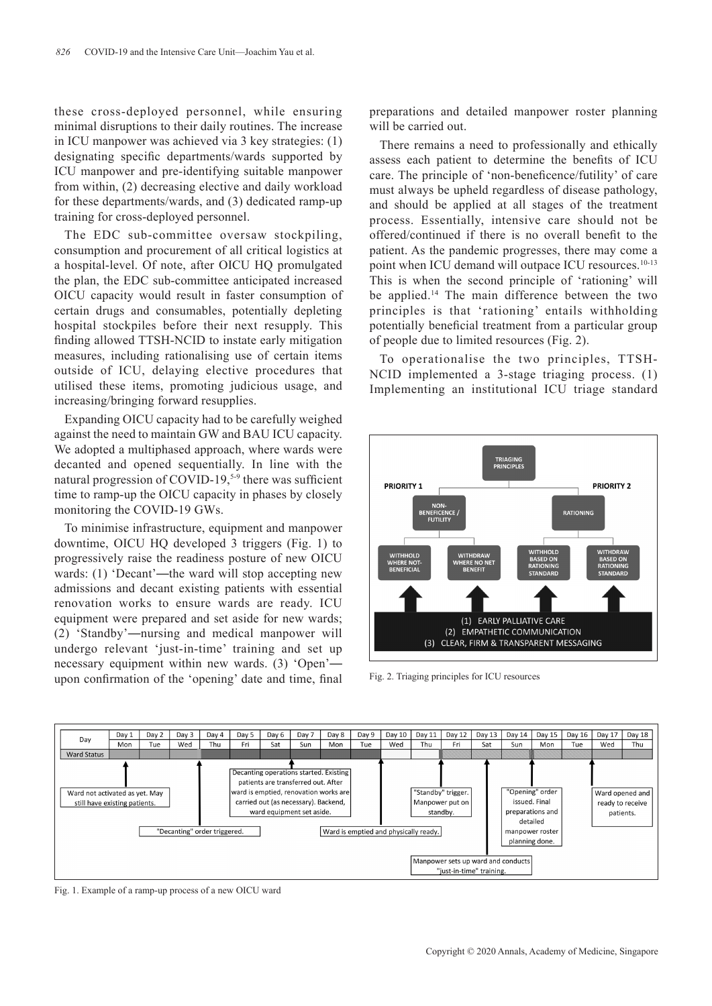these cross-deployed personnel, while ensuring minimal disruptions to their daily routines. The increase in ICU manpower was achieved via 3 key strategies: (1) designating specific departments/wards supported by ICU manpower and pre-identifying suitable manpower from within, (2) decreasing elective and daily workload for these departments/wards, and (3) dedicated ramp-up training for cross-deployed personnel.

The EDC sub-committee oversaw stockpiling, consumption and procurement of all critical logistics at a hospital-level. Of note, after OICU HQ promulgated the plan, the EDC sub-committee anticipated increased OICU capacity would result in faster consumption of certain drugs and consumables, potentially depleting hospital stockpiles before their next resupply. This finding allowed TTSH-NCID to instate early mitigation measures, including rationalising use of certain items outside of ICU, delaying elective procedures that utilised these items, promoting judicious usage, and increasing/bringing forward resupplies.

Expanding OICU capacity had to be carefully weighed against the need to maintain GW and BAU ICU capacity. We adopted a multiphased approach, where wards were decanted and opened sequentially. In line with the natural progression of COVID-19,<sup>5-9</sup> there was sufficient time to ramp-up the OICU capacity in phases by closely monitoring the COVID-19 GWs.

To minimise infrastructure, equipment and manpower downtime, OICU HQ developed 3 triggers (Fig. 1) to progressively raise the readiness posture of new OICU wards: (1) 'Decant'—the ward will stop accepting new admissions and decant existing patients with essential renovation works to ensure wards are ready. ICU equipment were prepared and set aside for new wards; (2) 'Standby'—nursing and medical manpower will undergo relevant 'just-in-time' training and set up necessary equipment within new wards. (3) 'Open' upon confirmation of the 'opening' date and time, final

preparations and detailed manpower roster planning will be carried out.

There remains a need to professionally and ethically assess each patient to determine the benefits of ICU care. The principle of 'non-beneficence/futility' of care must always be upheld regardless of disease pathology, and should be applied at all stages of the treatment process. Essentially, intensive care should not be offered/continued if there is no overall benefit to the patient. As the pandemic progresses, there may come a point when ICU demand will outpace ICU resources.<sup>10-13</sup> This is when the second principle of 'rationing' will be applied.<sup>14</sup> The main difference between the two principles is that 'rationing' entails withholding potentially beneficial treatment from a particular group of people due to limited resources (Fig. 2).

To operationalise the two principles, TTSH-NCID implemented a 3-stage triaging process. (1) Implementing an institutional ICU triage standard



Fig. 2. Triaging principles for ICU resources



Fig. 1. Example of a ramp-up process of a new OICU ward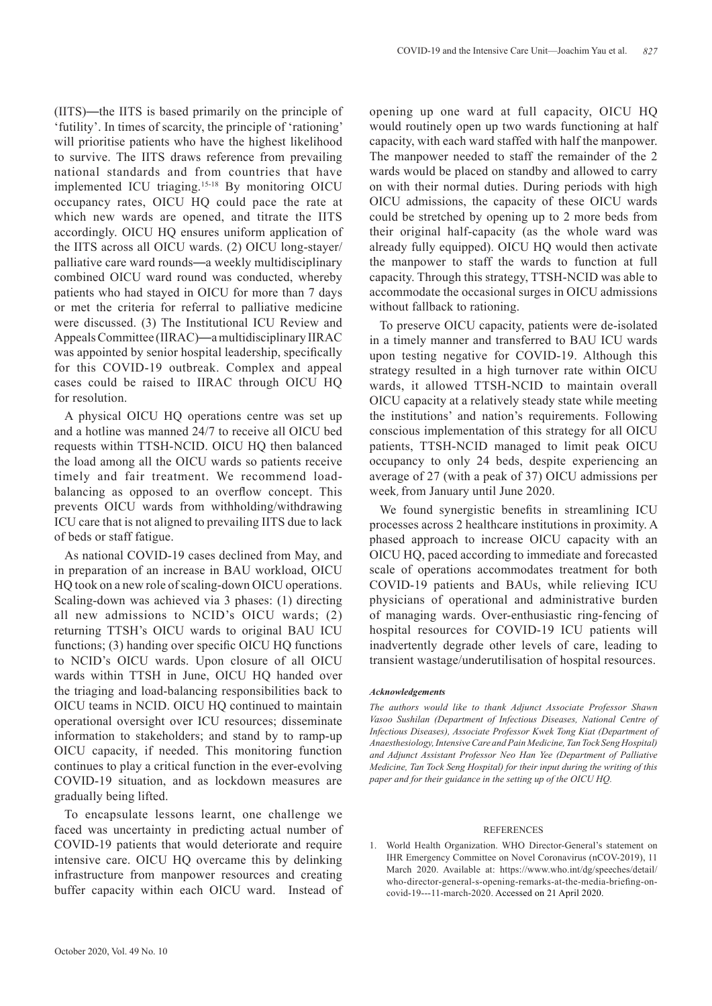(IITS)—the IITS is based primarily on the principle of 'futility'. In times of scarcity, the principle of 'rationing' will prioritise patients who have the highest likelihood to survive. The IITS draws reference from prevailing national standards and from countries that have implemented ICU triaging.15-18 By monitoring OICU occupancy rates, OICU HQ could pace the rate at which new wards are opened, and titrate the IITS accordingly. OICU HQ ensures uniform application of the IITS across all OICU wards. (2) OICU long-stayer/ palliative care ward rounds—a weekly multidisciplinary combined OICU ward round was conducted, whereby patients who had stayed in OICU for more than 7 days or met the criteria for referral to palliative medicine were discussed. (3) The Institutional ICU Review and Appeals Committee (IIRAC)—a multidisciplinary IIRAC was appointed by senior hospital leadership, specifically for this COVID-19 outbreak. Complex and appeal cases could be raised to IIRAC through OICU HQ for resolution.

A physical OICU HQ operations centre was set up and a hotline was manned 24/7 to receive all OICU bed requests within TTSH-NCID. OICU HQ then balanced the load among all the OICU wards so patients receive timely and fair treatment. We recommend loadbalancing as opposed to an overflow concept. This prevents OICU wards from withholding/withdrawing ICU care that is not aligned to prevailing IITS due to lack of beds or staff fatigue.

As national COVID-19 cases declined from May, and in preparation of an increase in BAU workload, OICU HQ took on a new role of scaling-down OICU operations. Scaling-down was achieved via 3 phases: (1) directing all new admissions to NCID's OICU wards; (2) returning TTSH's OICU wards to original BAU ICU functions; (3) handing over specific OICU HQ functions to NCID's OICU wards. Upon closure of all OICU wards within TTSH in June, OICU HQ handed over the triaging and load-balancing responsibilities back to OICU teams in NCID. OICU HQ continued to maintain operational oversight over ICU resources; disseminate information to stakeholders; and stand by to ramp-up OICU capacity, if needed. This monitoring function continues to play a critical function in the ever-evolving COVID-19 situation, and as lockdown measures are gradually being lifted.

To encapsulate lessons learnt, one challenge we faced was uncertainty in predicting actual number of COVID-19 patients that would deteriorate and require intensive care. OICU HQ overcame this by delinking infrastructure from manpower resources and creating buffer capacity within each OICU ward. Instead of opening up one ward at full capacity, OICU HQ would routinely open up two wards functioning at half capacity, with each ward staffed with half the manpower. The manpower needed to staff the remainder of the 2 wards would be placed on standby and allowed to carry on with their normal duties. During periods with high OICU admissions, the capacity of these OICU wards could be stretched by opening up to 2 more beds from their original half-capacity (as the whole ward was already fully equipped). OICU HQ would then activate the manpower to staff the wards to function at full capacity. Through this strategy, TTSH-NCID was able to accommodate the occasional surges in OICU admissions without fallback to rationing.

To preserve OICU capacity, patients were de-isolated in a timely manner and transferred to BAU ICU wards upon testing negative for COVID-19. Although this strategy resulted in a high turnover rate within OICU wards, it allowed TTSH-NCID to maintain overall OICU capacity at a relatively steady state while meeting the institutions' and nation's requirements. Following conscious implementation of this strategy for all OICU patients, TTSH-NCID managed to limit peak OICU occupancy to only 24 beds, despite experiencing an average of 27 (with a peak of 37) OICU admissions per week, from January until June 2020.

We found synergistic benefits in streamlining ICU processes across 2 healthcare institutions in proximity. A phased approach to increase OICU capacity with an OICU HQ, paced according to immediate and forecasted scale of operations accommodates treatment for both COVID-19 patients and BAUs, while relieving ICU physicians of operational and administrative burden of managing wards. Over-enthusiastic ring-fencing of hospital resources for COVID-19 ICU patients will inadvertently degrade other levels of care, leading to transient wastage/underutilisation of hospital resources.

## *Acknowledgements*

*The authors would like to thank Adjunct Associate Professor Shawn Vasoo Sushilan (Department of Infectious Diseases, National Centre of Infectious Diseases), Associate Professor Kwek Tong Kiat (Department of Anaesthesiology, Intensive Care and Pain Medicine, Tan Tock Seng Hospital) and Adjunct Assistant Professor Neo Han Yee (Department of Palliative Medicine, Tan Tock Seng Hospital) for their input during the writing of this paper and for their guidance in the setting up of the OICU HQ.*

## **REFERENCES**

1. World Health Organization. WHO Director-General's statement on IHR Emergency Committee on Novel Coronavirus (nCOV-2019), 11 March 2020. Available at: https://www.who.int/dg/speeches/detail/ who-director-general-s-opening-remarks-at-the-media-briefing-oncovid-19---11-march-2020. Accessed on 21 April 2020.